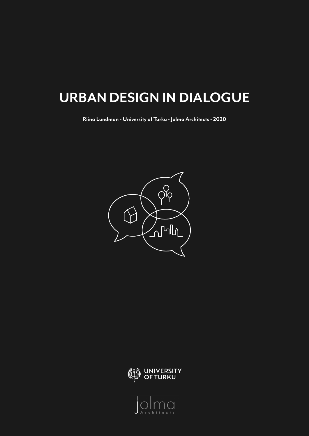# **URBAN DESIGN IN DIALOGUE**

**Riina Lundman - University of Turku - Jolma Architects - 2020**





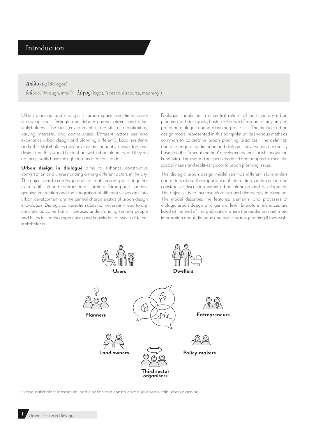# Introduction

#### *Διάλογος* (diálogos)

*διά*(diá, "through, inter") + *λόγος* (lógos, "speech, discourse, meaning")

Urban planning and changes in urban space sometimes cause strong opinions, feelings, and debate among citizens and other stakeholders. The built environment is the site of negotiations, varying interests, and controversies. Different actors see and experience urban design and planning differently. Local residents and other stakeholders may have ideas, thoughts, knowledge, and desires that they would like to share with urban planners, but they do not necessarily have the right forums or means to do it.

Urban design in dialogue aims to enhance constructive conversation and understanding among different actors in the city. The objective is to co-design and co-create urban spaces together even in difficult and contradictory situations. Strong participation, genuine interaction and the integration of different viewpoints into urban development are the central characteristics of urban design in dialogue. Dialogic conversation does not necessarily lead to any concrete outcome but it increases understanding among people and helps in sharing experiences and knowledge between different stakeholders.

Dialogue should be in a central role in all participatory urban planning, but strict goals, haste, or the lack of resources may prevent profound dialogue during planning processes. The dialogic urban design model represented in this pamphlet utilizes various methods common to co-creative urban planning practices. The definition and rules regarding dialogue and dialogic conversation are mostly based on the Timeout method<sup>1</sup> developed by the Finnish Innovation Fund Sitra. The method has been modified and adapted to meet the special needs and realities typical to urban planning issues.

The dialogic urban design model reminds different stakeholders and actors about the importance of interaction, participation and constructive discussion within urban planning and development. The objective is to increase pluralism and democracy in planning. The model describes the features, elements, and processes of dialogic urban design at a general level. Literature references are listed at the end of this publication where the reader can get more information about dialogue and participatory planning if they wish.



Diverse stakeholder interaction, participation and constructive discussion within urban planning.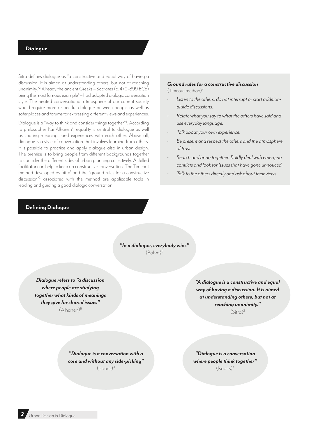## **Dialogue**

Sitra defines dialogue as "a constructive and equal way of having a discussion. It is aimed at understanding others, but not at reaching unanimity."2 Already the ancient Greeks – Socrates (c. 470–399 BCE) being the most famous example<sup>3</sup> – had adopted dialogic conversation style. The heated conversational atmosphere of our current society would require more respectful dialogue between people as well as safer places and forums for expressing different views and experiences.

Dialogue is a "way to think and consider things together"4 . According to philosopher Kai Alhanen<sup>5</sup>, equality is central to dialogue as well as sharing meanings and experiences with each other. Above all, dialogue is a style of conversation that involves learning from others. It is possible to practice and apply dialogue also in urban design. The premise is to bring people from different backgrounds together to consider the different sides of urban planning collectively. A skilled facilitator can help to keep up constructive conversation. The Timeout method developed by Sitra<sup>1</sup> and the "ground rules for a constructive discussion<sup>"2</sup> associated with the method are applicable tools in leading and guiding a good dialogic conversation.

# **Defining Dialogue**

#### *Ground rules for a constructive discussion*  (Timeout method)2

- *• Listen to the others, do not interrupt or start additional side discussions.*
- *• Relate what you say to what the others have said and use everyday language.*
- *• Talk about your own experience.*
- *• Be present and respect the others and the atmosphere of trust.*
- *• Search and bring together. Boldly deal with emerging conflicts and look for issues that have gone unnoticed.*
- *• Talk to the others directly and ask about their views.*

*"In a dialogue, everybody wins"*   $(Bohm)^6$ 

*Dialogue refers to "a discussion where people are studying together what kinds of meanings they give for shared issues"*  (Alhanen)5

*"A dialogue is a constructive and equal way of having a discussion. It is aimed at understanding others, but not at reaching unanimity."*   $(Sitra)^2$ 

*"Dialogue is a conversation with a core and without any side-picking"*   $(lsaces)^4$ 

*"Dialogue is a conversation where people think together"*   $(lsaacs)^4$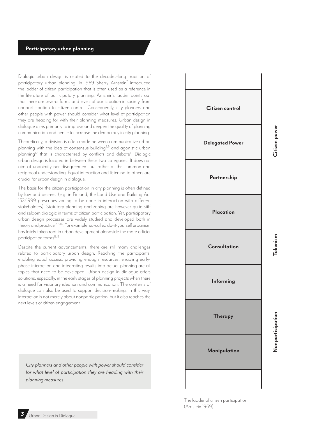# **Participatory urban planning**

Dialogic urban design is related to the decades-long tradition of participatory urban planning. In 1969 Sherry Arnstein<sup>7</sup> introduced the ladder of citizen participation that is often used as a reference in the literature of participatory planning. Arnstein's ladder points out that there are several forms and levels of participation in society, from nonparticipation to citizen control. Consequently, city planners and other people with power should consider what level of participation they are heading for with their planning measures. Urban design in dialogue aims primarily to improve and deepen the quality of planning communication and hence to increase the democracy in city planning.

Theoretically, a division is often made between communicative urban planning with the idea of consensus building<sup>8,9</sup> and agonistic urban planning<sup>10</sup> that is characterized by conflicts and debate<sup>11</sup>. Dialogic urban design is located in between these two categories. It does not aim at unanimity nor disagreement but rather at the common and reciprocal understanding. Equal interaction and listening to others are crucial for urban design in dialogue.

The basis for the citizen participation in city planning is often defined by law and decrees (e.g. in Finland, the Land Use and Building Act 132/1999 prescribes zoning to be done in interaction with different stakeholders). Statutory planning and zoning are however quite stiff and seldom dialogic in terms of citizen participation. Yet, participatory urban design processes are widely studied and developed both in theory and practice<sup>12,13,14</sup>. For example, so-called do-it-yourself urbanism has lately taken root in urban development alongside the more official participation forms<sup>15,16</sup>.

Despite the current advancements, there are still many challenges related to participatory urban design. Reaching the participants, enabling equal access, providing enough resources, enabling earlyphase interaction and integrating results into actual planning are all topics that need to be developed. Urban design in dialogue offers solutions, especially, in the early stages of planning projects when there is a need for visionary ideation and communication. The contents of dialogue can also be used to support decision-making. In this way, interaction is not merely about nonparticipation, but it also reaches the next levels of citizen engagement.

*City planners and other people with power should consider for what level of participation they are heading with their planning measures.*



The ladder of citizen participation (Arnstein 1969)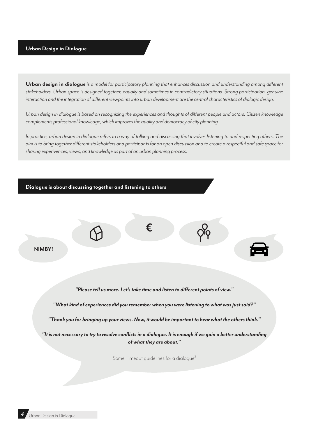**Urban design in dialogue** *is a model for participatory planning that enhances discussion and understanding among different stakeholders. Urban space is designed together, equally and sometimes in contradictory situations. Strong participation, genuine interaction and the integration of different viewpoints into urban development are the central characteristics of dialogic design.*

*Urban design in dialogue is based on recognizing the experiences and thoughts of different people and actors. Citizen knowledge complements professional knowledge, which improves the quality and democracy of city planning.*

*In practice, urban design in dialogue refers to a way of talking and discussing that involves listening to and respecting others. The aim is to bring together different stakeholders and participants for an open discussion and to create a respectful and safe space for sharing experivences, views, and knowledge as part of an urban planning process.*

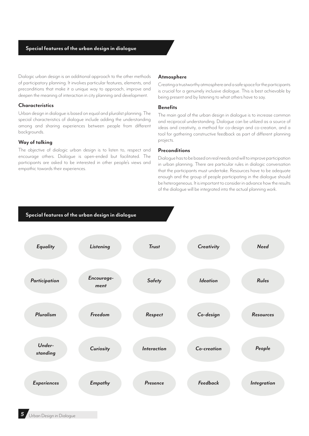# **Special features of the urban design in dialogue**

Dialogic urban design is an additional approach to the other methods of participatory planning. It involves particular features, elements, and preconditions that make it a unique way to approach, improve and deepen the meaning of interaction in city planning and development.

#### **Characteristics**

Urban design in dialogue is based on equal and pluralist planning. The special characteristics of dialogue include adding the understanding among and sharing experiences between people from different backgrounds.

#### **Way of talking**

The objective of dialogic urban design is to listen to, respect and encourage others. Dialogue is open-ended but facilitated. The participants are asked to be interested in other people's views and empathic towards their experiences.

#### **Atmosphere**

Creating a trustworthy atmosphere and a safe space for the participants is crucial for a genuinely inclusive dialogue. This is best achievable by being present and by listening to what others have to say.

#### **Benefits**

The main goal of the urban design in dialogue is to increase common and reciprocal understanding. Dialogue can be utilized as a source of ideas and creativity, a method for co-design and co-creation, and a tool for gathering constructive feedback as part of different planning projects.

#### **Preconditions**

Dialogue has to be based on real needs and will to improve participation in urban planning. There are particular rules in dialogic conversation that the participants must undertake. Resources have to be adequate enough and the group of people participating in the dialogue should be heterogeneous. It is important to consider in advance how the results of the dialogue will be integrated into the actual planning work.

# **Special features of the urban design in dialogue**

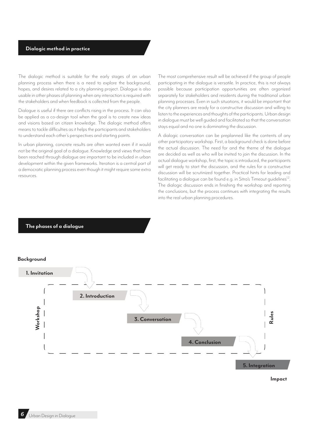# **Dialogic method in practice**

The dialogic method is suitable for the early stages of an urban planning process when there is a need to explore the background, hopes, and desires related to a city planning project. Dialogue is also usable in other phases of planning when any interaction is required with the stakeholders and when feedback is collected from the people.

Dialogue is useful if there are conflicts rising in the process. It can also be applied as a co-design tool when the goal is to create new ideas and visions based on citizen knowledge. The dialogic method offers means to tackle difficulties as it helps the participants and stakeholders to understand each other's perspectives and starting points.

In urban planning, concrete results are often wanted even if it would not be the original goal of a dialogue. Knowledge and views that have been reached through dialogue are important to be included in urban development within the given frameworks. Iteration is a central part of a democratic planning process even though it might require some extra resources.

The most comprehensive result will be achieved if the group of people participating in the dialogue is versatile. In practice, this is not always possible because participation opportunities are often organized separately for stakeholders and residents during the traditional urban planning processes. Even in such situations, it would be important that the city planners are ready for a constructive discussion and willing to listen to the experiences and thoughts of the participants. Urban design in dialogue must be well guided and facilitated so that the conversation stays equal and no one is dominating the discussion.

A dialogic conversation can be preplanned like the contents of any other participatory workshop. First, a background check is done before the actual discussion. The need for and the theme of the dialogue are decided as well as who will be invited to join the discussion. In the actual dialogue workshop, first, the topic is introduced, the participants will get ready to start the discussion, and the rules for a constructive discussion will be scrutinized together. Practical hints for leading and facilitating a dialogue can be found e.g. in Sitra's Timeout guidelines<sup>1,2</sup>. The dialogic discussion ends in finishing the workshop and reporting the conclusions, but the process continues with integrating the results into the real urban planning procedures.

## **The phases of a dialogue**

#### **Background**



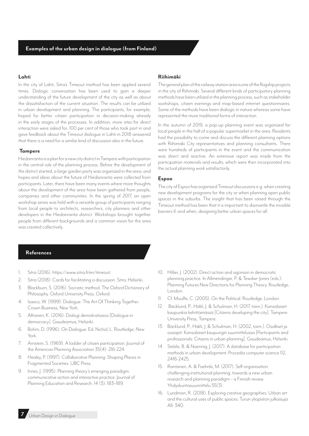#### **Lahti**

In the city of Lahti, Sitra's Timeout method has been applied several times. Dialogic conversation has been used to gain a deeper understanding of the future development of the city as well as about the dissatisfaction of the current situation. The results can be utilized in urban development and planning. The participants, for example, hoped for better citizen participation in decision-making already in the early stages of the processes. In addition, more sites for direct interaction were asked for. 100 per cent of those who took part in and gave feedback about the Timeout dialogue in Lahti in 2018 answered that there is a need for a similar kind of discussion also in the future.

#### **Tampere**

Hiedanranta is a plan for a new city district in Tampere with participation in the central role of the planning process. Before the development of the district started, a large garden party was organized in the area, and hopes and ideas about the future of Hiedanranta were collected from participants. Later, there have been many events where more thoughts about the development of the area have been gathered from people, companies and other communities. In the spring of 2017, an open workshop series was held with a versatile group of participants ranging from local people to architects, researchers, city planners and other developers in the Hiedanranta district. Workshops brought together people from different backgrounds and a common vision for the area was created collectively.

#### **Riihimäki**

The general plan of the railway station area is one of the flagship projects in the city of Riihimäki. Several different kinds of participatory planning methods have been utilized in the planning process, such as stakeholder workshops, citizen evenings and map-based internet questionnaires. Some of the methods have been dialogic in nature whereas some have represented the more traditional forms of interaction.

In the autumn of 2019, a pop-up planning event was organized for local people in the hall of a popular supermarket in the area. Residents had the possibility to come and discuss the different planning options with Riihimäki City representatives and planning consultants. There were hundreds of participants in the event and the communication was direct and reactive. An extensive report was made from the participation materials and results, which were then incorporated into the actual planning work satisfactorily.

#### **Espoo**

The city of Espoo has organized Timeout discussions e.g. when creating new development programs for the city or when planning open public spaces in the suburbs. The insight that has been raised through the Timeout method has been that it is important to dismantle the invisible barriers if, and when, designing better urban spaces for all.

## **References**

- 1. Sitra (2016). https://www.sitra.fi/en/timeout.
- 2. Sitra (2018). Cards for facilitating a discussion. Sitra, Helsinki.
- 3. Blackburn, S. (2016). Socratic method. The Oxford Dictionary of Philosophy. Oxford University Press, Oxford.
- 4. Isaacs, W. (1999). Dialogue: The Art Of Thinking Together. Crown Business, New York.
- 5. Alhanen, K. (2016). Dialogi demokratiassa [Dialogue in democracy]. Gaudeamus, Helsinki.
- 6. Bohm, D. (1996). On Dialogue. Ed. Nichol, L. Routledge, New York.
- 7. Arnstein, S. (1969). A ladder of citizen participation. Journal of the American Planning Association 35(4): 216-224.
- 8. Healey, P. (1997). Collaborative Planning: Shaping Places in Fragmented Societies. UBC Press.
- 9. Innes, J. (1995). Planning theory's emerging paradigm: communicative action and interactive practice. Journal of Planning Education and Research. 14 (3): 183–189.
- 10. Hillier, J. (2002). Direct action and agonism in democratic planning practice. In Allmendinger, P. & Tewdwr-Jones (eds.): Planning Futures New Directions for Planning Theory. Routledge, London.
- 11. Cf. Mouffe, C. (2005). On the Political. Routledge, London.
- 12. Bäcklund, P., Häkli, J. & Schulman, H. (2017, toim.). Kansalaiset kaupunkia kehittämässä [Citizens developing the city]. Tampere University Press, Tampere.
- 13. Bäcklund, P., Häkli, J. & Schulman, H. (2002, toim.). Osalliset ja osaajat: Kansalaiset kaupungin suunnittelussa [Participants and professionals: Citizens in urban planning]. Gaudeamus, Helsinki.
- 14. Stelzle, B. & Noennig, J. (2017). A database for participation methods in urban development. Procedia computer science 112, 2416-2425.
- 15. Rantanen, A. & Faehnle, M. (2017). Self-organisation challenging institutional planning: towards a new urban research and planning paradigm – a Finnish review. Yhdyskuntasuunnittelu 55(3).
- 16. Lundman, R. (2018). Exploring creative geographies: Urban art and the cultural uses of public spaces. Turun yliopiston julkaisuja AII: 340.